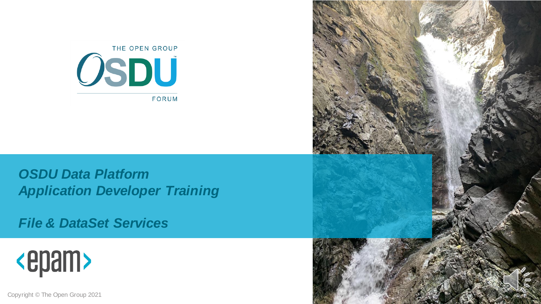

#### *OSDU Data Platform Application Developer Training*

*File & DataSet Services*



Copyright © The Open Group 2021

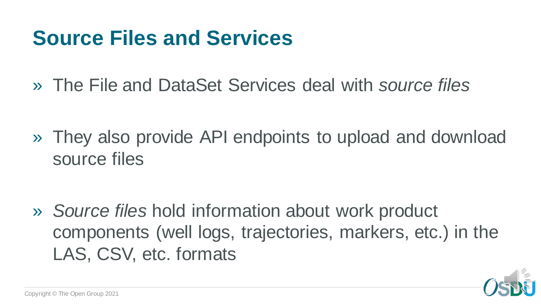## **Source Files and Services**

» The File and DataSet Services deal with *source files*

» They also provide API endpoints to upload and download source files

» *Source files* hold information about work product components (well logs, trajectories, markers, etc.) in the LAS, CSV, etc. formats

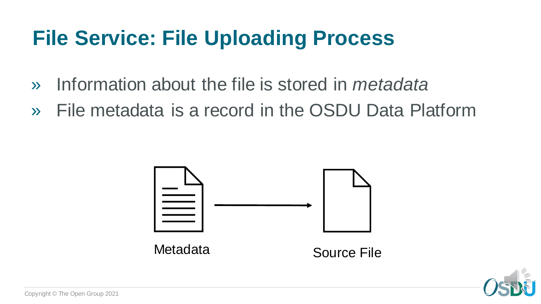# **File Service: File Uploading Process**

- » Information about the file is stored in *metadata*
- » File metadata is a record in the OSDU Data Platform



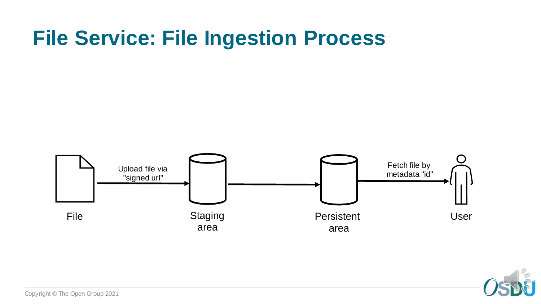### **File Service: File Ingestion Process**



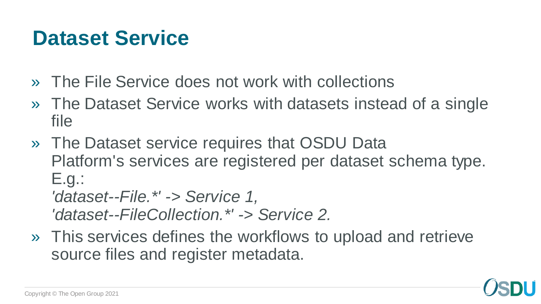### **Dataset Service**

- » The File Service does not work with collections
- » The Dataset Service works with datasets instead of a single file
- » The Dataset service requires that OSDU Data Platform's services are registered per dataset schema type. E.g.: *'dataset--File.\*' -> Service 1, 'dataset--FileCollection.\*' -> Service 2.*
- » This services defines the workflows to upload and retrieve source files and register metadata.